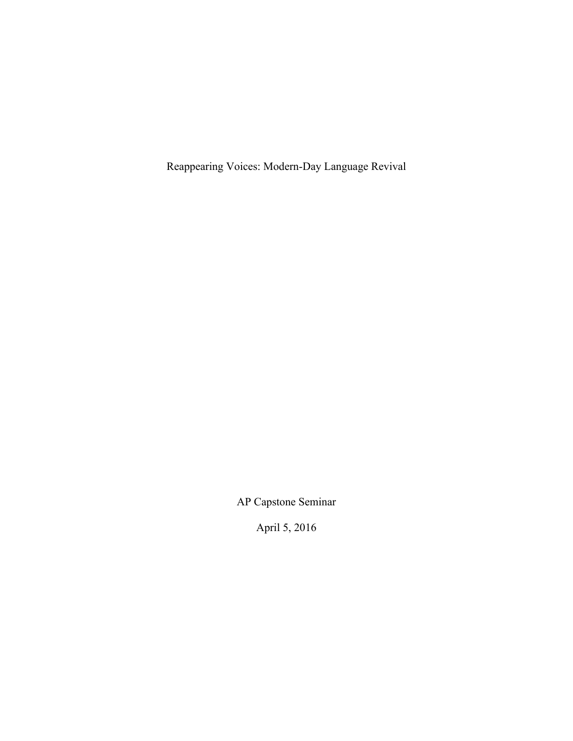Reappearing Voices: Modern-Day Language Revival

AP Capstone Seminar

April 5, 2016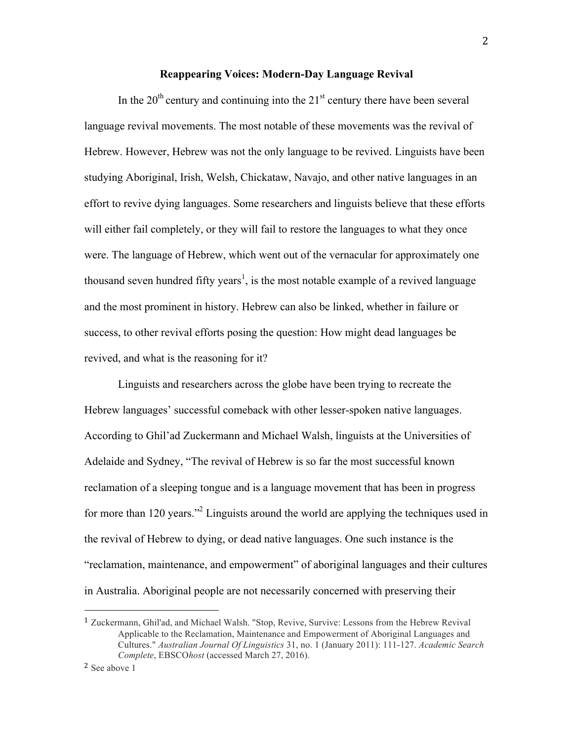## **Reappearing Voices: Modern-Day Language Revival**

In the  $20<sup>th</sup>$  century and continuing into the  $21<sup>st</sup>$  century there have been several language revival movements. The most notable of these movements was the revival of Hebrew. However, Hebrew was not the only language to be revived. Linguists have been studying Aboriginal, Irish, Welsh, Chickataw, Navajo, and other native languages in an effort to revive dying languages. Some researchers and linguists believe that these efforts will either fail completely, or they will fail to restore the languages to what they once were. The language of Hebrew, which went out of the vernacular for approximately one thousand seven hundred fifty years<sup>1</sup>, is the most notable example of a revived language and the most prominent in history. Hebrew can also be linked, whether in failure or success, to other revival efforts posing the question: How might dead languages be revived, and what is the reasoning for it?

Linguists and researchers across the globe have been trying to recreate the Hebrew languages' successful comeback with other lesser-spoken native languages. According to Ghil'ad Zuckermann and Michael Walsh, linguists at the Universities of Adelaide and Sydney, "The revival of Hebrew is so far the most successful known reclamation of a sleeping tongue and is a language movement that has been in progress for more than 120 years."2 Linguists around the world are applying the techniques used in the revival of Hebrew to dying, or dead native languages. One such instance is the "reclamation, maintenance, and empowerment" of aboriginal languages and their cultures in Australia. Aboriginal people are not necessarily concerned with preserving their

<sup>1</sup> Zuckermann, Ghil'ad, and Michael Walsh. "Stop, Revive, Survive: Lessons from the Hebrew Revival Applicable to the Reclamation, Maintenance and Empowerment of Aboriginal Languages and Cultures." *Australian Journal Of Linguistics* 31, no. 1 (January 2011): 111-127. *Academic Search Complete*, EBSCO*host* (accessed March 27, 2016).

<sup>2</sup> See above 1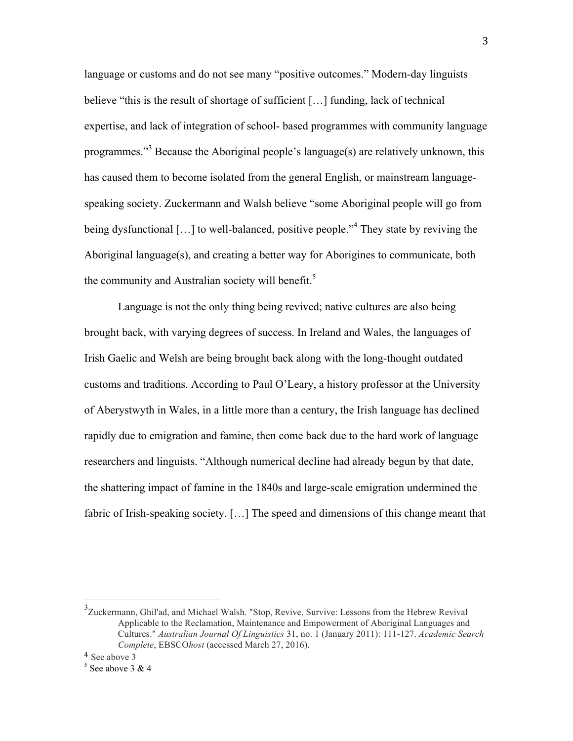language or customs and do not see many "positive outcomes." Modern-day linguists believe "this is the result of shortage of sufficient […] funding, lack of technical expertise, and lack of integration of school- based programmes with community language programmes."<sup>3</sup> Because the Aboriginal people's language(s) are relatively unknown, this has caused them to become isolated from the general English, or mainstream languagespeaking society. Zuckermann and Walsh believe "some Aboriginal people will go from being dysfunctional [...] to well-balanced, positive people.<sup>34</sup> They state by reviving the Aboriginal language(s), and creating a better way for Aborigines to communicate, both the community and Australian society will benefit.<sup>5</sup>

Language is not the only thing being revived; native cultures are also being brought back, with varying degrees of success. In Ireland and Wales, the languages of Irish Gaelic and Welsh are being brought back along with the long-thought outdated customs and traditions. According to Paul O'Leary, a history professor at the University of Aberystwyth in Wales, in a little more than a century, the Irish language has declined rapidly due to emigration and famine, then come back due to the hard work of language researchers and linguists. "Although numerical decline had already begun by that date, the shattering impact of famine in the 1840s and large-scale emigration undermined the fabric of Irish-speaking society. [...] The speed and dimensions of this change meant that

<sup>&</sup>lt;sup>3</sup><br><sup>3</sup>Zuckermann, Ghil'ad, and Michael Walsh. "Stop, Revive, Survive: Lessons from the Hebrew Revival Applicable to the Reclamation, Maintenance and Empowerment of Aboriginal Languages and Cultures." *Australian Journal Of Linguistics* 31, no. 1 (January 2011): 111-127. *Academic Search Complete*, EBSCO*host* (accessed March 27, 2016).

<sup>4</sup> See above 3

 $5$  See above 3 & 4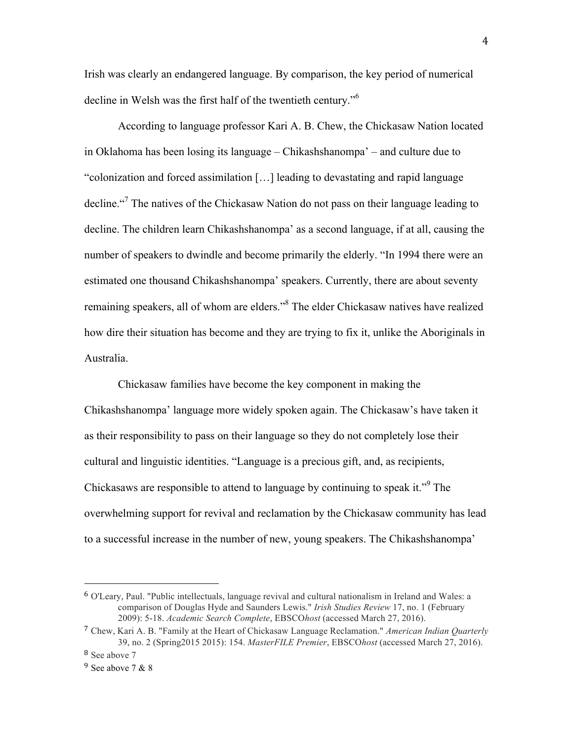Irish was clearly an endangered language. By comparison, the key period of numerical decline in Welsh was the first half of the twentieth century."<sup>6</sup>

According to language professor Kari A. B. Chew, the Chickasaw Nation located in Oklahoma has been losing its language – Chikashshanompa' – and culture due to "colonization and forced assimilation […] leading to devastating and rapid language decline."<sup>7</sup> The natives of the Chickasaw Nation do not pass on their language leading to decline. The children learn Chikashshanompa' as a second language, if at all, causing the number of speakers to dwindle and become primarily the elderly. "In 1994 there were an estimated one thousand Chikashshanompa' speakers. Currently, there are about seventy remaining speakers, all of whom are elders."8 The elder Chickasaw natives have realized how dire their situation has become and they are trying to fix it, unlike the Aboriginals in Australia.

Chickasaw families have become the key component in making the Chikashshanompa' language more widely spoken again. The Chickasaw's have taken it as their responsibility to pass on their language so they do not completely lose their cultural and linguistic identities. "Language is a precious gift, and, as recipients, Chickasaws are responsible to attend to language by continuing to speak it."<sup>9</sup> The overwhelming support for revival and reclamation by the Chickasaw community has lead to a successful increase in the number of new, young speakers. The Chikashshanompa'

<sup>6</sup> O'Leary, Paul. "Public intellectuals, language revival and cultural nationalism in Ireland and Wales: a comparison of Douglas Hyde and Saunders Lewis." *Irish Studies Review* 17, no. 1 (February 2009): 5-18. *Academic Search Complete*, EBSCO*host* (accessed March 27, 2016).

<sup>7</sup> Chew, Kari A. B. "Family at the Heart of Chickasaw Language Reclamation." *American Indian Quarterly* 39, no. 2 (Spring2015 2015): 154. *MasterFILE Premier*, EBSCO*host* (accessed March 27, 2016).

<sup>8</sup> See above 7

 $9$  See above 7 & 8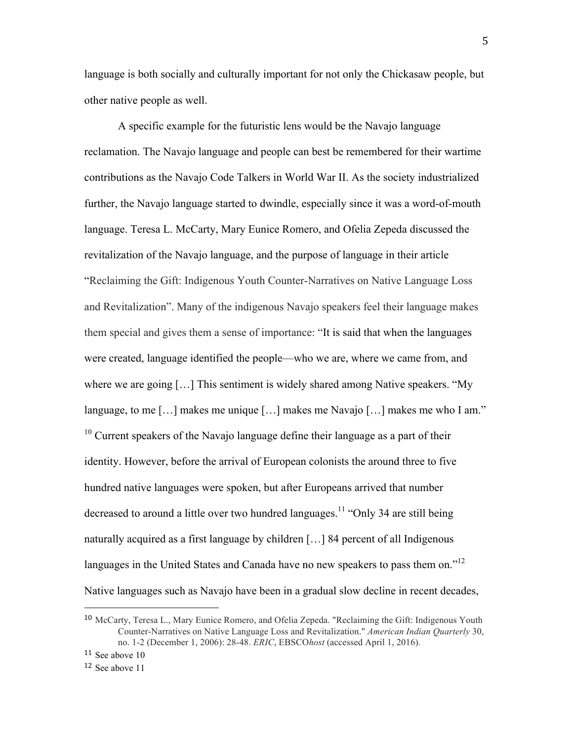language is both socially and culturally important for not only the Chickasaw people, but other native people as well.

A specific example for the futuristic lens would be the Navajo language reclamation. The Navajo language and people can best be remembered for their wartime contributions as the Navajo Code Talkers in World War II. As the society industrialized further, the Navajo language started to dwindle, especially since it was a word-of-mouth language. Teresa L. McCarty, Mary Eunice Romero, and Ofelia Zepeda discussed the revitalization of the Navajo language, and the purpose of language in their article "Reclaiming the Gift: Indigenous Youth Counter-Narratives on Native Language Loss and Revitalization". Many of the indigenous Navajo speakers feel their language makes them special and gives them a sense of importance: "It is said that when the languages were created, language identified the people—who we are, where we came from, and where we are going [...] This sentiment is widely shared among Native speakers. "My language, to me […] makes me unique […] makes me Navajo […] makes me who I am."  $10$  Current speakers of the Navajo language define their language as a part of their identity. However, before the arrival of European colonists the around three to five hundred native languages were spoken, but after Europeans arrived that number decreased to around a little over two hundred languages.<sup>11</sup> "Only 34 are still being naturally acquired as a first language by children […] 84 percent of all Indigenous languages in the United States and Canada have no new speakers to pass them on.<sup> $12$ </sup> Native languages such as Navajo have been in a gradual slow decline in recent decades,

<sup>11</sup> See above 10

<sup>10</sup> McCarty, Teresa L., Mary Eunice Romero, and Ofelia Zepeda. "Reclaiming the Gift: Indigenous Youth Counter-Narratives on Native Language Loss and Revitalization." *American Indian Quarterly* 30, no. 1-2 (December 1, 2006): 28-48. *ERIC*, EBSCO*host* (accessed April 1, 2016).

<sup>12</sup> See above 11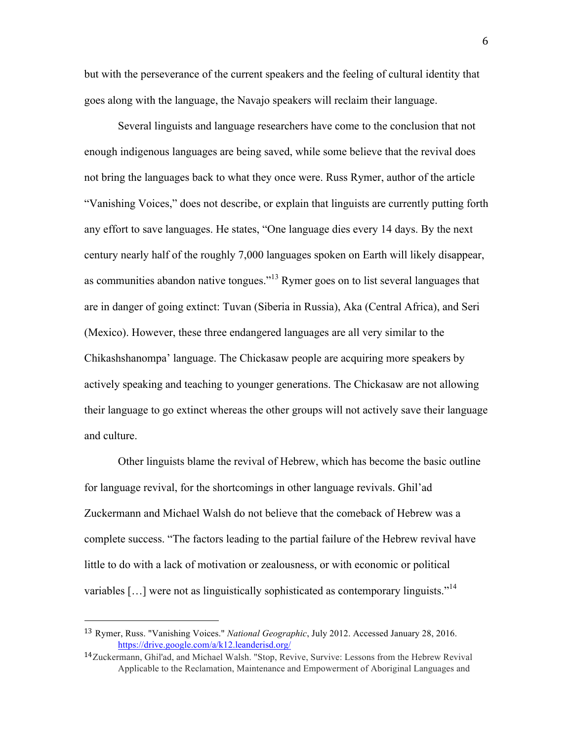but with the perseverance of the current speakers and the feeling of cultural identity that goes along with the language, the Navajo speakers will reclaim their language.

Several linguists and language researchers have come to the conclusion that not enough indigenous languages are being saved, while some believe that the revival does not bring the languages back to what they once were. Russ Rymer, author of the article "Vanishing Voices," does not describe, or explain that linguists are currently putting forth any effort to save languages. He states, "One language dies every 14 days. By the next century nearly half of the roughly 7,000 languages spoken on Earth will likely disappear, as communities abandon native tongues."<sup>13</sup> Rymer goes on to list several languages that are in danger of going extinct: Tuvan (Siberia in Russia), Aka (Central Africa), and Seri (Mexico). However, these three endangered languages are all very similar to the Chikashshanompa' language. The Chickasaw people are acquiring more speakers by actively speaking and teaching to younger generations. The Chickasaw are not allowing their language to go extinct whereas the other groups will not actively save their language and culture.

Other linguists blame the revival of Hebrew, which has become the basic outline for language revival, for the shortcomings in other language revivals. Ghil'ad Zuckermann and Michael Walsh do not believe that the comeback of Hebrew was a complete success. "The factors leading to the partial failure of the Hebrew revival have little to do with a lack of motivation or zealousness, or with economic or political variables [...] were not as linguistically sophisticated as contemporary linguists."<sup>14</sup>

<sup>13</sup> Rymer, Russ. "Vanishing Voices." *National Geographic*, July 2012. Accessed January 28, 2016. https://drive.google.com/a/k12.leanderisd.org/

<sup>14</sup>Zuckermann, Ghil'ad, and Michael Walsh. "Stop, Revive, Survive: Lessons from the Hebrew Revival Applicable to the Reclamation, Maintenance and Empowerment of Aboriginal Languages and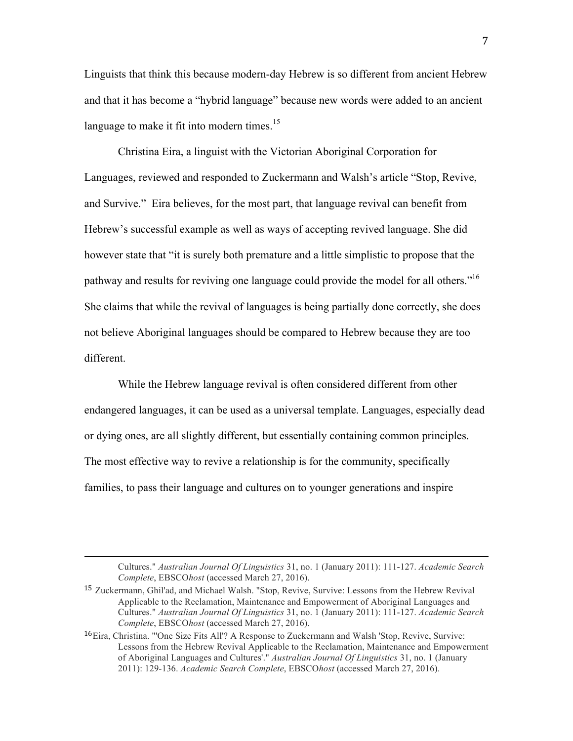Linguists that think this because modern-day Hebrew is so different from ancient Hebrew and that it has become a "hybrid language" because new words were added to an ancient language to make it fit into modern times.<sup>15</sup>

Christina Eira, a linguist with the Victorian Aboriginal Corporation for Languages, reviewed and responded to Zuckermann and Walsh's article "Stop, Revive, and Survive." Eira believes, for the most part, that language revival can benefit from Hebrew's successful example as well as ways of accepting revived language. She did however state that "it is surely both premature and a little simplistic to propose that the pathway and results for reviving one language could provide the model for all others."<sup>16</sup> She claims that while the revival of languages is being partially done correctly, she does not believe Aboriginal languages should be compared to Hebrew because they are too different.

While the Hebrew language revival is often considered different from other endangered languages, it can be used as a universal template. Languages, especially dead or dying ones, are all slightly different, but essentially containing common principles. The most effective way to revive a relationship is for the community, specifically families, to pass their language and cultures on to younger generations and inspire

<u> 1989 - Andrea San Andrea San Andrea San Andrea San Andrea San Andrea San Andrea San Andrea San Andrea San An</u>

Cultures." *Australian Journal Of Linguistics* 31, no. 1 (January 2011): 111-127. *Academic Search Complete*, EBSCO*host* (accessed March 27, 2016).

<sup>15</sup> Zuckermann, Ghil'ad, and Michael Walsh. "Stop, Revive, Survive: Lessons from the Hebrew Revival Applicable to the Reclamation, Maintenance and Empowerment of Aboriginal Languages and Cultures." *Australian Journal Of Linguistics* 31, no. 1 (January 2011): 111-127. *Academic Search Complete*, EBSCO*host* (accessed March 27, 2016).

<sup>16</sup>Eira, Christina. "'One Size Fits All'? A Response to Zuckermann and Walsh 'Stop, Revive, Survive: Lessons from the Hebrew Revival Applicable to the Reclamation, Maintenance and Empowerment of Aboriginal Languages and Cultures'." *Australian Journal Of Linguistics* 31, no. 1 (January 2011): 129-136. *Academic Search Complete*, EBSCO*host* (accessed March 27, 2016).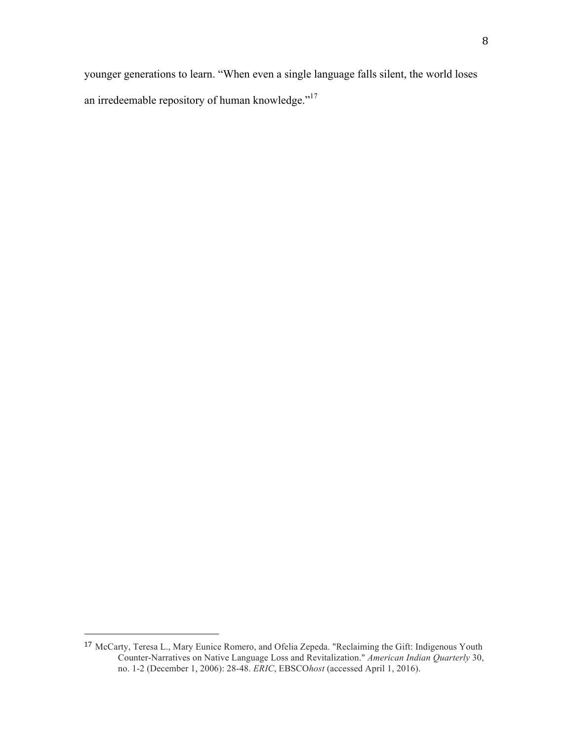younger generations to learn. "When even a single language falls silent, the world loses an irredeemable repository of human knowledge."<sup>17</sup>

<sup>17</sup> McCarty, Teresa L., Mary Eunice Romero, and Ofelia Zepeda. "Reclaiming the Gift: Indigenous Youth Counter-Narratives on Native Language Loss and Revitalization." *American Indian Quarterly* 30, no. 1-2 (December 1, 2006): 28-48. *ERIC*, EBSCO*host* (accessed April 1, 2016).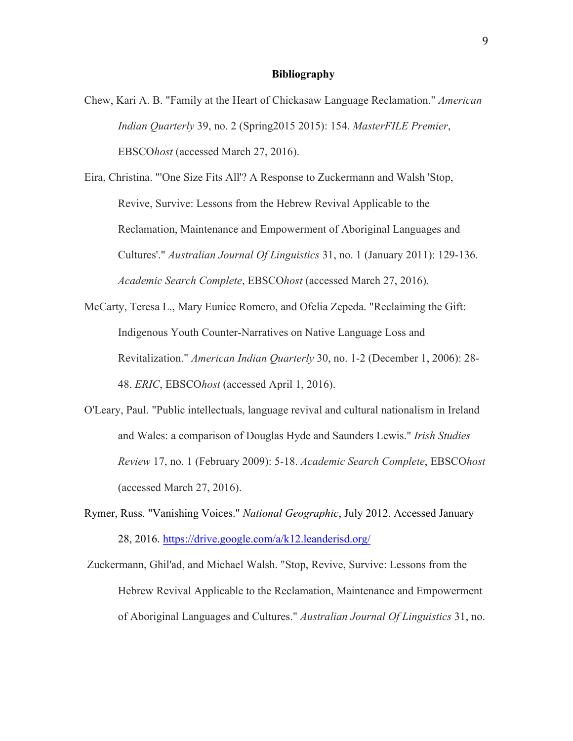## **Bibliography**

Chew, Kari A. B. "Family at the Heart of Chickasaw Language Reclamation." *American Indian Quarterly* 39, no. 2 (Spring2015 2015): 154. *MasterFILE Premier*, EBSCO*host* (accessed March 27, 2016).

Eira, Christina. "'One Size Fits All'? A Response to Zuckermann and Walsh 'Stop, Revive, Survive: Lessons from the Hebrew Revival Applicable to the Reclamation, Maintenance and Empowerment of Aboriginal Languages and Cultures'." *Australian Journal Of Linguistics* 31, no. 1 (January 2011): 129-136. *Academic Search Complete*, EBSCO*host* (accessed March 27, 2016).

- McCarty, Teresa L., Mary Eunice Romero, and Ofelia Zepeda. "Reclaiming the Gift: Indigenous Youth Counter-Narratives on Native Language Loss and Revitalization." *American Indian Quarterly* 30, no. 1-2 (December 1, 2006): 28- 48. *ERIC*, EBSCO*host* (accessed April 1, 2016).
- O'Leary, Paul. "Public intellectuals, language revival and cultural nationalism in Ireland and Wales: a comparison of Douglas Hyde and Saunders Lewis." *Irish Studies Review* 17, no. 1 (February 2009): 5-18. *Academic Search Complete*, EBSCO*host* (accessed March 27, 2016).
- Rymer, Russ. "Vanishing Voices." *National Geographic*, July 2012. Accessed January 28, 2016. https://drive.google.com/a/k12.leanderisd.org/

Zuckermann, Ghil'ad, and Michael Walsh. "Stop, Revive, Survive: Lessons from the Hebrew Revival Applicable to the Reclamation, Maintenance and Empowerment of Aboriginal Languages and Cultures." *Australian Journal Of Linguistics* 31, no.